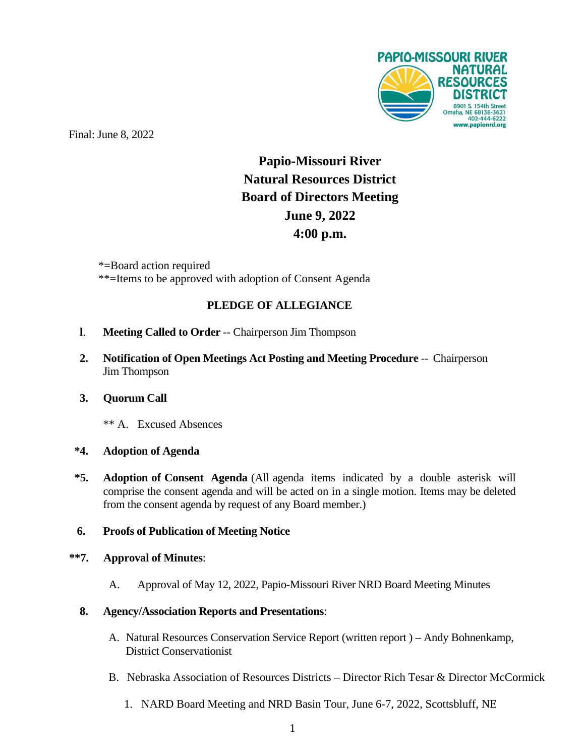

Final: June 8, 2022

# **Papio-Missouri River Natural Resources District Board of Directors Meeting June 9, 2022 4:00 p.m.**

\*=Board action required \*\*=Items to be approved with adoption of Consent Agenda

# **PLEDGE OF ALLEGIANCE**

- **l**. **Meeting Called to Order** -- Chairperson Jim Thompson
- **2. Notification of Open Meetings Act Posting and Meeting Procedure** -- Chairperson Jim Thompson

### **3. Quorum Call**

\*\* A. Excused Absences

### **\*4. Adoption of Agenda**

**\*5. Adoption of Consent Agenda** (All agenda items indicated by a double asterisk will comprise the consent agenda and will be acted on in a single motion. Items may be deleted from the consent agenda by request of any Board member.)

### **6. Proofs of Publication of Meeting Notice**

## **\*\*7. Approval of Minutes**:

A. Approval of May 12, 2022, Papio-Missouri River NRD Board Meeting Minutes

### **8. Agency/Association Reports and Presentations**:

- A. Natural Resources Conservation Service Report (written report ) Andy Bohnenkamp, District Conservationist
- B. Nebraska Association of Resources Districts Director Rich Tesar & Director McCormick
	- 1. NARD Board Meeting and NRD Basin Tour, June 6-7, 2022, Scottsbluff, NE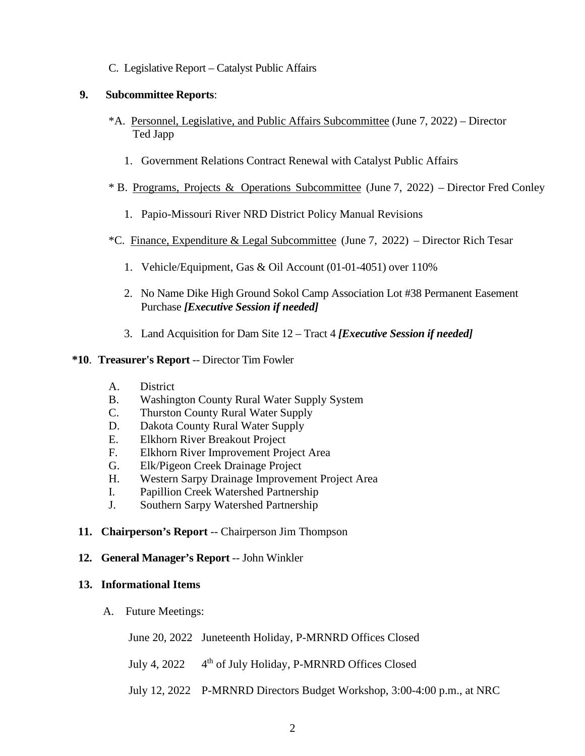C. Legislative Report – Catalyst Public Affairs

#### **9. Subcommittee Reports**:

- \*A. Personnel, Legislative, and Public Affairs Subcommittee (June 7, 2022) Director Ted Japp
	- 1. Government Relations Contract Renewal with Catalyst Public Affairs
- \* B. Programs, Projects & Operations Subcommittee (June 7, 2022) Director Fred Conley
	- 1. Papio-Missouri River NRD District Policy Manual Revisions
- \*C. Finance, Expenditure & Legal Subcommittee (June 7, 2022) Director Rich Tesar
	- 1. Vehicle/Equipment, Gas & Oil Account (01-01-4051) over 110%
	- 2. No Name Dike High Ground Sokol Camp Association Lot #38 Permanent Easement Purchase *[Executive Session if needed]*
	- 3. Land Acquisition for Dam Site 12 Tract 4 *[Executive Session if needed]*

#### **\*10**. **Treasurer's Report** -- Director Tim Fowler

- A. District
- B. Washington County Rural Water Supply System
- C. Thurston County Rural Water Supply
- D. Dakota County Rural Water Supply
- E. Elkhorn River Breakout Project
- F. Elkhorn River Improvement Project Area
- G. Elk/Pigeon Creek Drainage Project
- H. Western Sarpy Drainage Improvement Project Area
- I. Papillion Creek Watershed Partnership
- J. Southern Sarpy Watershed Partnership
- **11. Chairperson's Report** -- Chairperson Jim Thompson
- **12. General Manager's Report** -- John Winkler

#### **13. Informational Items**

A.Future Meetings:

June 20, 2022 Juneteenth Holiday, P-MRNRD Offices Closed

July 4, 2022  $4<sup>th</sup>$  of July Holiday, P-MRNRD Offices Closed

July 12, 2022 P-MRNRD Directors Budget Workshop, 3:00-4:00 p.m., at NRC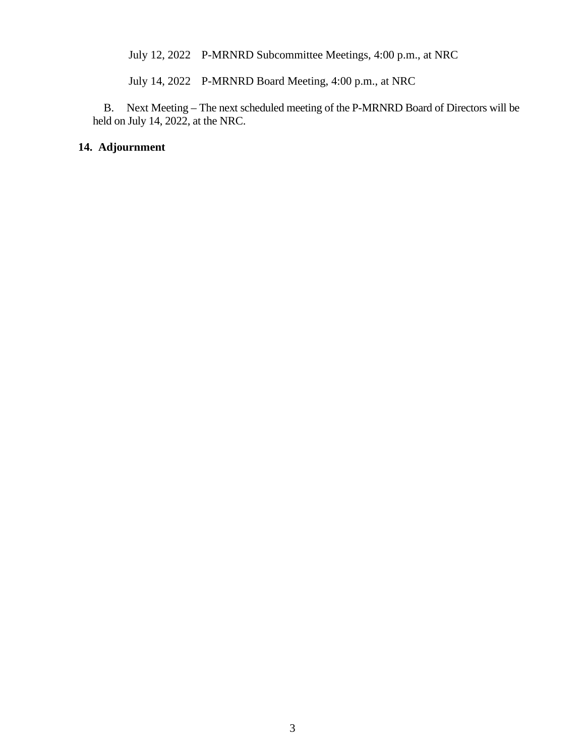July 12, 2022 P-MRNRD Subcommittee Meetings, 4:00 p.m., at NRC

July 14, 2022 P-MRNRD Board Meeting, 4:00 p.m., at NRC

 B. Next Meeting – The next scheduled meeting of the P-MRNRD Board of Directors will be held on July 14, 2022, at the NRC.

#### **14. Adjournment**